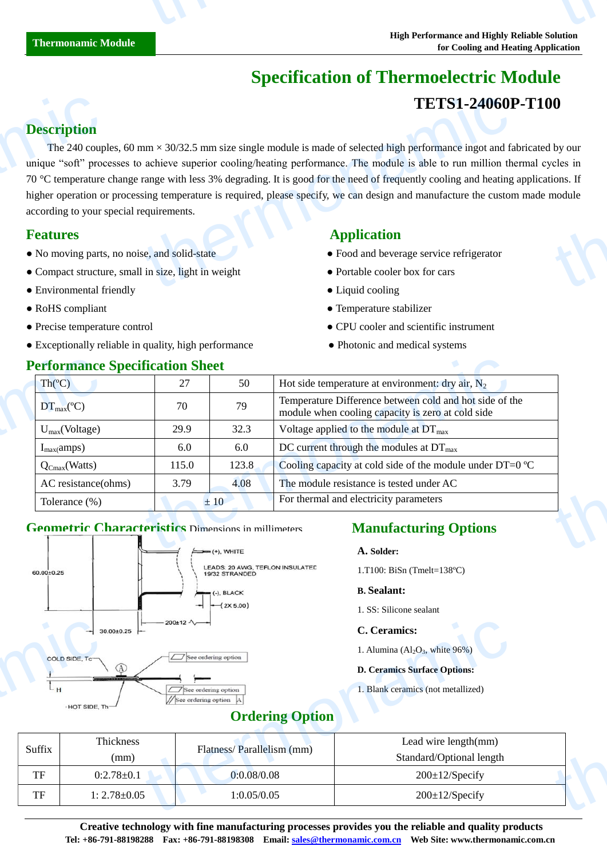# **Specification of Thermoelectric Module**

# **TETS1-24060P-T100**

### **Description**

The 240 couples, 60 mm  $\times$  30/32.5 mm size single module is made of selected high performance ingot and fabricated by our unique "soft" processes to achieve superior cooling/heating performance. The module is able to run million thermal cycles in 70 °C temperature change range with less 3% degrading. It is good for the need of frequently cooling and heating applications. If higher operation or processing temperature is required, please specify, we can design and manufacture the custom made module according to your special requirements. **Description**<br>The 240 coup<br>unique "soft" proc<br>70 °C temperature<br>higher operation of<br>according to your s<br>**Features**<br>No moving parts<br>• No moving parts<br>• Compact structu TETS1-240601<br>
nm  $\times$  30/32.5 mm size single module is made of selected high performance ingot and fa<br>
achieve superior cooling/heating performance. The module is able to run million the<br>
range with less 3% degrading. It **thermonal started to the COV**<br>thermonal started to the module

- No moving parts, no noise, and solid-state **•** Food and beverage service refrigerator
- Compact structure, small in size, light in weight Portable cooler box for cars
- Environmental friendly  **Liquid cooling**
- 
- 
- Exceptionally reliable in quality, high performance • • Photonic and medical systems

#### **Performance Specification Sheet**

# **Features** Application

- 
- 
- 
- RoHS compliant Temperature stabilizer
- Precise temperature control CPU cooler and scientific instrument
	-

| <b>Performance Specification Sheet</b> |       |       |                                                                                                              |
|----------------------------------------|-------|-------|--------------------------------------------------------------------------------------------------------------|
| Th(C)                                  | 27    | 50    | Hot side temperature at environment: dry air, $N_2$                                                          |
| $DT_{\text{max}}(C)$                   | 70    | 79    | Temperature Difference between cold and hot side of the<br>module when cooling capacity is zero at cold side |
| $U_{max}(Voltage)$                     | 29.9  | 32.3  | Voltage applied to the module at $DT_{\text{max}}$                                                           |
| $I_{max}(amps)$                        | 6.0   | 6.0   | DC current through the modules at $DT_{\text{max}}$                                                          |
| $Q_{Cmax}(Watts)$                      | 115.0 | 123.8 | Cooling capacity at cold side of the module under DT=0 $\mathbb{C}$                                          |
| AC resistance(ohms)                    | 3.79  | 4.08  | The module resistance is tested under AC                                                                     |
| Tolerance $(\%)$                       |       | ±10   | For thermal and electricity parameters                                                                       |

#### **Geometric Characteristics** Dimensions in millimeters



#### **Manufacturing Options**

- **A. Solder:**
- 1.T100: BiSn (Tmelt=138ºC)
- **B. Sealant:**
- 1. SS: Silicone sealant
- **C. Ceramics:**
- 1. Alumina  $(Al<sub>2</sub>O<sub>3</sub>, white 96%)$
- **D. Ceramics Surface Options:**
- 1. Blank ceramics (not metallized)

# **Ordering Option**

| $-200 \pm 12$ $\sim$<br>$-30.00 \pm 0.25$<br>See ordering option<br>COLD SIDE, To<br>$\odot$<br><br>See ordering option<br>H<br>/See ordering option A |                    | C. Ceramics:                        |                                                  |  |
|--------------------------------------------------------------------------------------------------------------------------------------------------------|--------------------|-------------------------------------|--------------------------------------------------|--|
|                                                                                                                                                        |                    | 1. Alumina ( $Al_2O_3$ , white 96%) |                                                  |  |
|                                                                                                                                                        |                    | <b>D. Ceramics Surface Options:</b> |                                                  |  |
|                                                                                                                                                        |                    | 1. Blank ceramics (not metallized)  |                                                  |  |
|                                                                                                                                                        | HOT SIDE, Th-      | <b>Ordering Option</b>              |                                                  |  |
| Suffix                                                                                                                                                 | Thickness<br>(mm)  | Flatness/Parallelism (mm)           | Lead wire length(mm)<br>Standard/Optional length |  |
| TF                                                                                                                                                     | $0:2.78 \pm 0.1$   | 0:0.08/0.08                         | $200 \pm 12$ /Specify                            |  |
| <b>TF</b>                                                                                                                                              | $1: 2.78 \pm 0.05$ | 1:0.05/0.05                         | $200 \pm 12$ /Specify                            |  |

**Creative technology with fine manufacturing processes provides you the reliable and quality products Tel: +86-791-88198288 Fax: +86-791-88198308 Email: sales@thermonamic.com.cn Web Site: www.thermonamic.com.cn**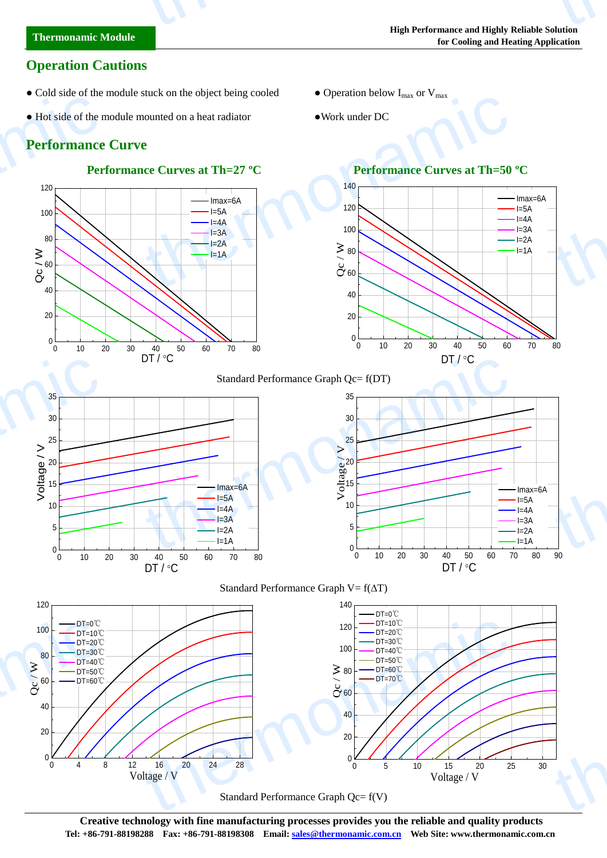# **Operation Cautions**

thermonamic

- Cold side of the module stuck on the object being cooled Operation below  $I_{max}$  or  $V_{max}$
- Hot side of the module mounted on a heat radiator Work under DC

# **Performance Curve**





Standard Performance Graph Qc= f(V)